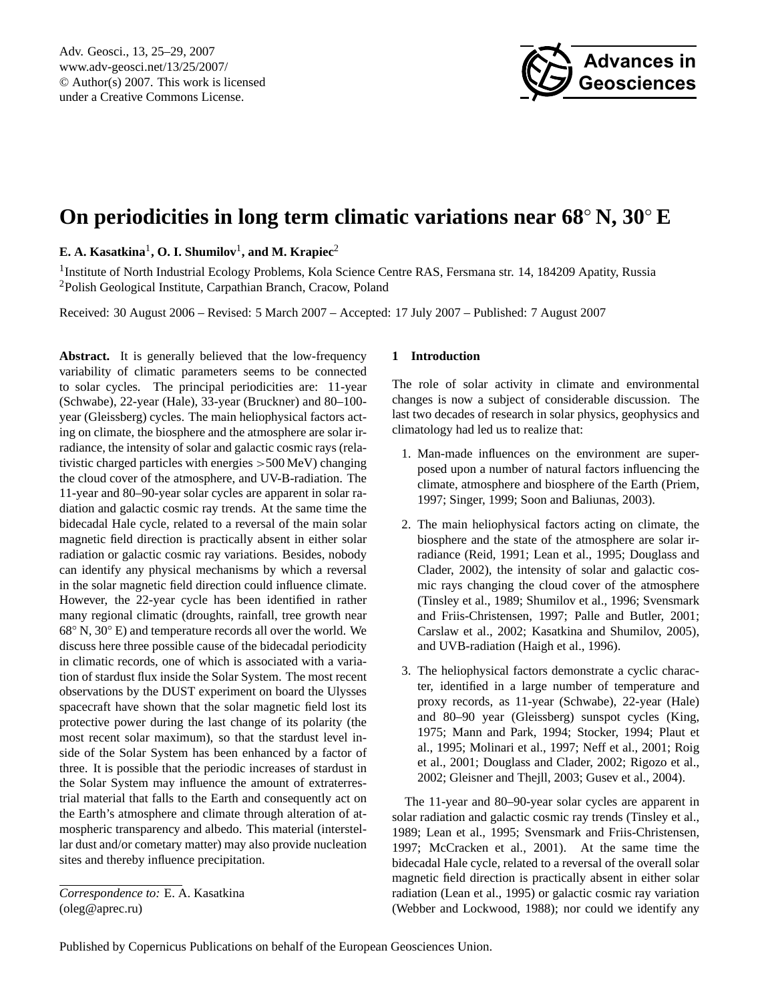

# <span id="page-0-0"></span>**On periodicities in long term climatic variations near 68**◦ **N, 30**◦ **E**

 $\mathbf{E.}\ \mathbf{A.}\ \mathbf{Kasatkina}^{1},\ \mathbf{O.}\ \mathbf{I.}\ \mathbf{Shumilov}^{1},$  and  $\mathbf{M.}\ \mathbf{Krapiec}^{2}$ 

<sup>1</sup>Institute of North Industrial Ecology Problems, Kola Science Centre RAS, Fersmana str. 14, 184209 Apatity, Russia <sup>2</sup>Polish Geological Institute, Carpathian Branch, Cracow, Poland

Received: 30 August 2006 – Revised: 5 March 2007 – Accepted: 17 July 2007 – Published: 7 August 2007

**Abstract.** It is generally believed that the low-frequency variability of climatic parameters seems to be connected to solar cycles. The principal periodicities are: 11-year (Schwabe), 22-year (Hale), 33-year (Bruckner) and 80–100 year (Gleissberg) cycles. The main heliophysical factors acting on climate, the biosphere and the atmosphere are solar irradiance, the intensity of solar and galactic cosmic rays (relativistic charged particles with energies >500 MeV) changing the cloud cover of the atmosphere, and UV-B-radiation. The 11-year and 80–90-year solar cycles are apparent in solar radiation and galactic cosmic ray trends. At the same time the bidecadal Hale cycle, related to a reversal of the main solar magnetic field direction is practically absent in either solar radiation or galactic cosmic ray variations. Besides, nobody can identify any physical mechanisms by which a reversal in the solar magnetic field direction could influence climate. However, the 22-year cycle has been identified in rather many regional climatic (droughts, rainfall, tree growth near 68◦ N, 30◦ E) and temperature records all over the world. We discuss here three possible cause of the bidecadal periodicity in climatic records, one of which is associated with a variation of stardust flux inside the Solar System. The most recent observations by the DUST experiment on board the Ulysses spacecraft have shown that the solar magnetic field lost its protective power during the last change of its polarity (the most recent solar maximum), so that the stardust level inside of the Solar System has been enhanced by a factor of three. It is possible that the periodic increases of stardust in the Solar System may influence the amount of extraterrestrial material that falls to the Earth and consequently act on the Earth's atmosphere and climate through alteration of atmospheric transparency and albedo. This material (interstellar dust and/or cometary matter) may also provide nucleation sites and thereby influence precipitation.

## **1 Introduction**

The role of solar activity in climate and environmental changes is now a subject of considerable discussion. The last two decades of research in solar physics, geophysics and climatology had led us to realize that:

- 1. Man-made influences on the environment are superposed upon a number of natural factors influencing the climate, atmosphere and biosphere of the Earth (Priem, 1997; Singer, 1999; Soon and Baliunas, 2003).
- 2. The main heliophysical factors acting on climate, the biosphere and the state of the atmosphere are solar irradiance (Reid, 1991; Lean et al., 1995; Douglass and Clader, 2002), the intensity of solar and galactic cosmic rays changing the cloud cover of the atmosphere (Tinsley et al., 1989; Shumilov et al., 1996; Svensmark and Friis-Christensen, 1997; Palle and Butler, 2001; Carslaw et al., 2002; Kasatkina and Shumilov, 2005), and UVB-radiation (Haigh et al., 1996).
- 3. The heliophysical factors demonstrate a cyclic character, identified in a large number of temperature and proxy records, as 11-year (Schwabe), 22-year (Hale) and 80–90 year (Gleissberg) sunspot cycles (King, 1975; Mann and Park, 1994; Stocker, 1994; Plaut et al., 1995; Molinari et al., 1997; Neff et al., 2001; Roig et al., 2001; Douglass and Clader, 2002; Rigozo et al., 2002; Gleisner and Thejll, 2003; Gusev et al., 2004).

The 11-year and 80–90-year solar cycles are apparent in solar radiation and galactic cosmic ray trends (Tinsley et al., 1989; Lean et al., 1995; Svensmark and Friis-Christensen, 1997; McCracken et al., 2001). At the same time the bidecadal Hale cycle, related to a reversal of the overall solar magnetic field direction is practically absent in either solar radiation (Lean et al., 1995) or galactic cosmic ray variation (Webber and Lockwood, 1988); nor could we identify any

*Correspondence to:* E. A. Kasatkina (oleg@aprec.ru)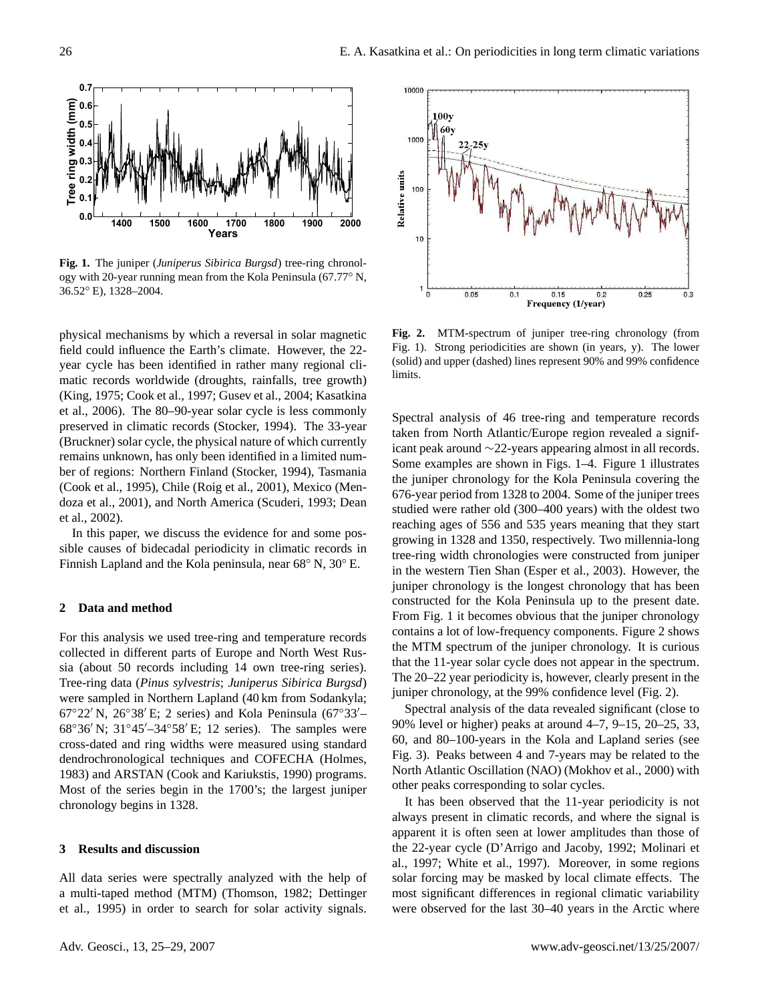

**Fig. 1.** The juniper (*Juniperus Sibirica Burgsd*) tree-ring chronology with 20-year running mean from the Kola Peninsula (67.77◦ N, 36.52◦ E), 1328–2004.

physical mechanisms by which a reversal in solar magnetic field could influence the Earth's climate. However, the 22 year cycle has been identified in rather many regional climatic records worldwide (droughts, rainfalls, tree growth) (King, 1975; Cook et al., 1997; Gusev et al., 2004; Kasatkina et al., 2006). The 80–90-year solar cycle is less commonly preserved in climatic records (Stocker, 1994). The 33-year (Bruckner) solar cycle, the physical nature of which currently remains unknown, has only been identified in a limited number of regions: Northern Finland (Stocker, 1994), Tasmania (Cook et al., 1995), Chile (Roig et al., 2001), Mexico (Mendoza et al., 2001), and North America (Scuderi, 1993; Dean et al., 2002).

In this paper, we discuss the evidence for and some possible causes of bidecadal periodicity in climatic records in Finnish Lapland and the Kola peninsula, near 68◦ N, 30◦ E.

#### **2 Data and method**

For this analysis we used tree-ring and temperature records collected in different parts of Europe and North West Russia (about 50 records including 14 own tree-ring series). Tree-ring data (*Pinus sylvestris*; *Juniperus Sibirica Burgsd*) were sampled in Northern Lapland (40 km from Sodankyla;  $67°22'$  N,  $26°38'E$ ; 2 series) and Kola Peninsula  $(67°33'–$  $68°36'$  N;  $31°45'$ – $34°58'$  E; 12 series). The samples were cross-dated and ring widths were measured using standard dendrochronological techniques and COFECHA (Holmes, 1983) and ARSTAN (Cook and Kariukstis, 1990) programs. Most of the series begin in the 1700's; the largest juniper chronology begins in 1328.

#### **3 Results and discussion**

All data series were spectrally analyzed with the help of a multi-taped method (MTM) (Thomson, 1982; Dettinger et al., 1995) in order to search for solar activity signals.



**Fig. 2.** MTM-spectrum of juniper tree-ring chronology (from Fig. 1). Strong periodicities are shown (in years, y). The lower (solid) and upper (dashed) lines represent 90% and 99% confidence limits.

Spectral analysis of 46 tree-ring and temperature records taken from North Atlantic/Europe region revealed a significant peak around ∼22-years appearing almost in all records. Some examples are shown in Figs. 1–4. Figure 1 illustrates the juniper chronology for the Kola Peninsula covering the 676-year period from 1328 to 2004. Some of the juniper trees studied were rather old (300–400 years) with the oldest two reaching ages of 556 and 535 years meaning that they start growing in 1328 and 1350, respectively. Two millennia-long tree-ring width chronologies were constructed from juniper in the western Tien Shan (Esper et al., 2003). However, the juniper chronology is the longest chronology that has been constructed for the Kola Peninsula up to the present date. From Fig. 1 it becomes obvious that the juniper chronology contains a lot of low-frequency components. Figure 2 shows the MTM spectrum of the juniper chronology. It is curious that the 11-year solar cycle does not appear in the spectrum. The 20–22 year periodicity is, however, clearly present in the juniper chronology, at the 99% confidence level (Fig. 2).

Spectral analysis of the data revealed significant (close to 90% level or higher) peaks at around 4–7, 9–15, 20–25, 33, 60, and 80–100-years in the Kola and Lapland series (see Fig. 3). Peaks between 4 and 7-years may be related to the North Atlantic Oscillation (NAO) (Mokhov et al., 2000) with other peaks corresponding to solar cycles.

It has been observed that the 11-year periodicity is not always present in climatic records, and where the signal is apparent it is often seen at lower amplitudes than those of the 22-year cycle (D'Arrigo and Jacoby, 1992; Molinari et al., 1997; White et al., 1997). Moreover, in some regions solar forcing may be masked by local climate effects. The most significant differences in regional climatic variability were observed for the last 30–40 years in the Arctic where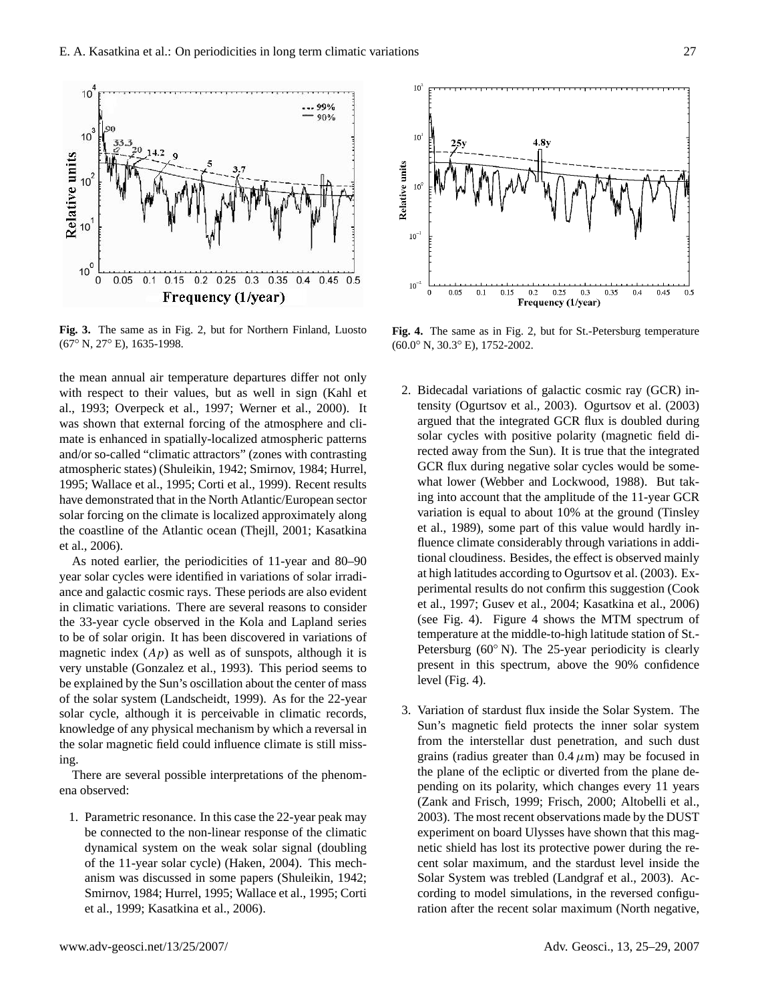

**Fig. 3.** The same as in Fig. 2, but for Northern Finland, Luosto (67◦ N, 27◦ E), 1635-1998.

the mean annual air temperature departures differ not only with respect to their values, but as well in sign (Kahl et al., 1993; Overpeck et al., 1997; Werner et al., 2000). It was shown that external forcing of the atmosphere and climate is enhanced in spatially-localized atmospheric patterns and/or so-called "climatic attractors" (zones with contrasting atmospheric states) (Shuleikin, 1942; Smirnov, 1984; Hurrel, 1995; Wallace et al., 1995; Corti et al., 1999). Recent results have demonstrated that in the North Atlantic/European sector solar forcing on the climate is localized approximately along the coastline of the Atlantic ocean (Thejll, 2001; Kasatkina et al., 2006).

As noted earlier, the periodicities of 11-year and 80–90 year solar cycles were identified in variations of solar irradiance and galactic cosmic rays. These periods are also evident in climatic variations. There are several reasons to consider the 33-year cycle observed in the Kola and Lapland series to be of solar origin. It has been discovered in variations of magnetic index  $(Ap)$  as well as of sunspots, although it is very unstable (Gonzalez et al., 1993). This period seems to be explained by the Sun's oscillation about the center of mass of the solar system (Landscheidt, 1999). As for the 22-year solar cycle, although it is perceivable in climatic records, knowledge of any physical mechanism by which a reversal in the solar magnetic field could influence climate is still missing.

There are several possible interpretations of the phenomena observed:

1. Parametric resonance. In this case the 22-year peak may be connected to the non-linear response of the climatic dynamical system on the weak solar signal (doubling of the 11-year solar cycle) (Haken, 2004). This mechanism was discussed in some papers (Shuleikin, 1942; Smirnov, 1984; Hurrel, 1995; Wallace et al., 1995; Corti et al., 1999; Kasatkina et al., 2006).



**Fig. 4.** The same as in Fig. 2, but for St.-Petersburg temperature (60.0◦ N, 30.3◦ E), 1752-2002.

- 2. Bidecadal variations of galactic cosmic ray (GCR) intensity (Ogurtsov et al., 2003). Ogurtsov et al. (2003) argued that the integrated GCR flux is doubled during solar cycles with positive polarity (magnetic field directed away from the Sun). It is true that the integrated GCR flux during negative solar cycles would be somewhat lower (Webber and Lockwood, 1988). But taking into account that the amplitude of the 11-year GCR variation is equal to about 10% at the ground (Tinsley et al., 1989), some part of this value would hardly influence climate considerably through variations in additional cloudiness. Besides, the effect is observed mainly at high latitudes according to Ogurtsov et al. (2003). Experimental results do not confirm this suggestion (Cook et al., 1997; Gusev et al., 2004; Kasatkina et al., 2006) (see Fig. 4). Figure 4 shows the MTM spectrum of temperature at the middle-to-high latitude station of St.- Petersburg  $(60° \text{ N})$ . The 25-year periodicity is clearly present in this spectrum, above the 90% confidence level (Fig. 4).
- 3. Variation of stardust flux inside the Solar System. The Sun's magnetic field protects the inner solar system from the interstellar dust penetration, and such dust grains (radius greater than  $0.4 \mu m$ ) may be focused in the plane of the ecliptic or diverted from the plane depending on its polarity, which changes every 11 years (Zank and Frisch, 1999; Frisch, 2000; Altobelli et al., 2003). The most recent observations made by the DUST experiment on board Ulysses have shown that this magnetic shield has lost its protective power during the recent solar maximum, and the stardust level inside the Solar System was trebled (Landgraf et al., 2003). According to model simulations, in the reversed configuration after the recent solar maximum (North negative,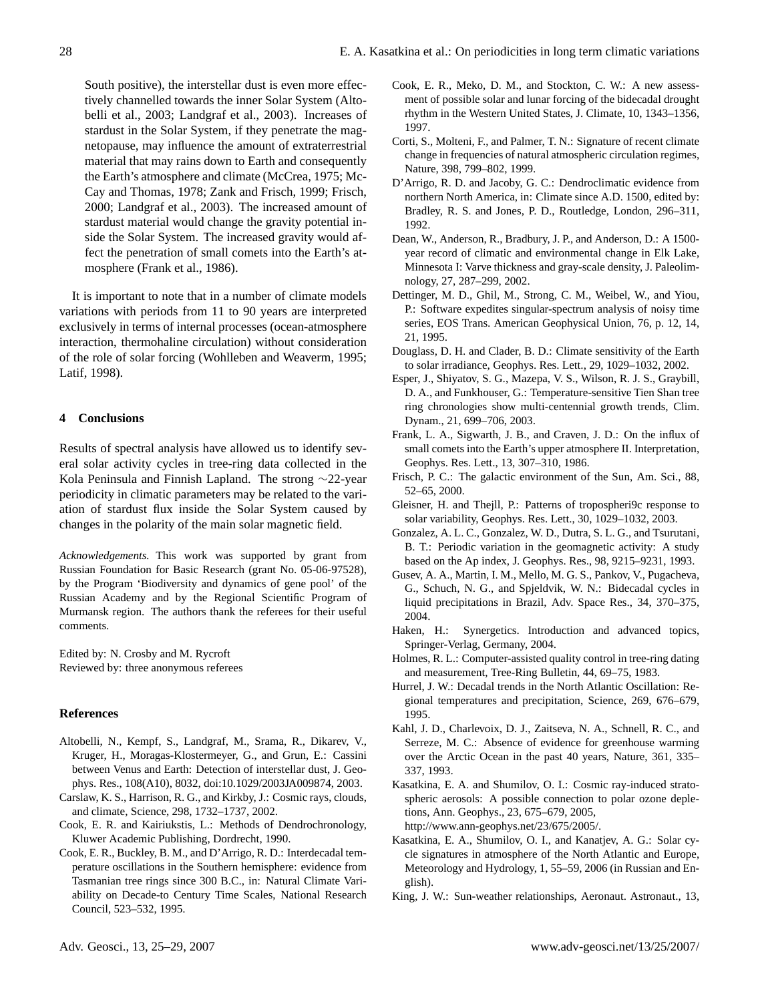South positive), the interstellar dust is even more effectively channelled towards the inner Solar System (Altobelli et al., 2003; Landgraf et al., 2003). Increases of stardust in the Solar System, if they penetrate the magnetopause, may influence the amount of extraterrestrial material that may rains down to Earth and consequently the Earth's atmosphere and climate (McCrea, 1975; Mc-Cay and Thomas, 1978; Zank and Frisch, 1999; Frisch, 2000; Landgraf et al., 2003). The increased amount of stardust material would change the gravity potential inside the Solar System. The increased gravity would affect the penetration of small comets into the Earth's atmosphere (Frank et al., 1986).

It is important to note that in a number of climate models variations with periods from 11 to 90 years are interpreted exclusively in terms of internal processes (ocean-atmosphere interaction, thermohaline circulation) without consideration of the role of solar forcing (Wohlleben and Weaverm, 1995; Latif, 1998).

### **4 Conclusions**

Results of spectral analysis have allowed us to identify several solar activity cycles in tree-ring data collected in the Kola Peninsula and Finnish Lapland. The strong ∼22-year periodicity in climatic parameters may be related to the variation of stardust flux inside the Solar System caused by changes in the polarity of the main solar magnetic field.

*Acknowledgements.* This work was supported by grant from Russian Foundation for Basic Research (grant No. 05-06-97528), by the Program 'Biodiversity and dynamics of gene pool' of the Russian Academy and by the Regional Scientific Program of Murmansk region. The authors thank the referees for their useful comments.

Edited by: N. Crosby and M. Rycroft Reviewed by: three anonymous referees

#### **References**

- Altobelli, N., Kempf, S., Landgraf, M., Srama, R., Dikarev, V., Kruger, H., Moragas-Klostermeyer, G., and Grun, E.: Cassini between Venus and Earth: Detection of interstellar dust, J. Geophys. Res., 108(A10), 8032, doi:10.1029/2003JA009874, 2003.
- Carslaw, K. S., Harrison, R. G., and Kirkby, J.: Cosmic rays, clouds, and climate, Science, 298, 1732–1737, 2002.
- Cook, E. R. and Kairiukstis, L.: Methods of Dendrochronology, Kluwer Academic Publishing, Dordrecht, 1990.
- Cook, E. R., Buckley, B. M., and D'Arrigo, R. D.: Interdecadal temperature oscillations in the Southern hemisphere: evidence from Tasmanian tree rings since 300 B.C., in: Natural Climate Variability on Decade-to Century Time Scales, National Research Council, 523–532, 1995.
- Cook, E. R., Meko, D. M., and Stockton, C. W.: A new assessment of possible solar and lunar forcing of the bidecadal drought rhythm in the Western United States, J. Climate, 10, 1343–1356, 1997.
- Corti, S., Molteni, F., and Palmer, T. N.: Signature of recent climate change in frequencies of natural atmospheric circulation regimes, Nature, 398, 799–802, 1999.
- D'Arrigo, R. D. and Jacoby, G. C.: Dendroclimatic evidence from northern North America, in: Climate since A.D. 1500, edited by: Bradley, R. S. and Jones, P. D., Routledge, London, 296–311, 1992.
- Dean, W., Anderson, R., Bradbury, J. P., and Anderson, D.: A 1500 year record of climatic and environmental change in Elk Lake, Minnesota I: Varve thickness and gray-scale density, J. Paleolimnology, 27, 287–299, 2002.
- Dettinger, M. D., Ghil, M., Strong, C. M., Weibel, W., and Yiou, P.: Software expedites singular-spectrum analysis of noisy time series, EOS Trans. American Geophysical Union, 76, p. 12, 14, 21, 1995.
- Douglass, D. H. and Clader, B. D.: Climate sensitivity of the Earth to solar irradiance, Geophys. Res. Lett., 29, 1029–1032, 2002.
- Esper, J., Shiyatov, S. G., Mazepa, V. S., Wilson, R. J. S., Graybill, D. A., and Funkhouser, G.: Temperature-sensitive Tien Shan tree ring chronologies show multi-centennial growth trends, Clim. Dynam., 21, 699–706, 2003.
- Frank, L. A., Sigwarth, J. B., and Craven, J. D.: On the influx of small comets into the Earth's upper atmosphere II. Interpretation, Geophys. Res. Lett., 13, 307–310, 1986.
- Frisch, P. C.: The galactic environment of the Sun, Am. Sci., 88, 52–65, 2000.
- Gleisner, H. and Thejll, P.: Patterns of tropospheri9c response to solar variability, Geophys. Res. Lett., 30, 1029–1032, 2003.
- Gonzalez, A. L. C., Gonzalez, W. D., Dutra, S. L. G., and Tsurutani, B. T.: Periodic variation in the geomagnetic activity: A study based on the Ap index, J. Geophys. Res., 98, 9215–9231, 1993.
- Gusev, A. A., Martin, I. M., Mello, M. G. S., Pankov, V., Pugacheva, G., Schuch, N. G., and Spjeldvik, W. N.: Bidecadal cycles in liquid precipitations in Brazil, Adv. Space Res., 34, 370–375, 2004.
- Haken, H.: Synergetics. Introduction and advanced topics, Springer-Verlag, Germany, 2004.
- Holmes, R. L.: Computer-assisted quality control in tree-ring dating and measurement, Tree-Ring Bulletin, 44, 69–75, 1983.
- Hurrel, J. W.: Decadal trends in the North Atlantic Oscillation: Regional temperatures and precipitation, Science, 269, 676–679, 1995.
- Kahl, J. D., Charlevoix, D. J., Zaitseva, N. A., Schnell, R. C., and Serreze, M. C.: Absence of evidence for greenhouse warming over the Arctic Ocean in the past 40 years, Nature, 361, 335– 337, 1993.
- Kasatkina, E. A. and Shumilov, O. I.: Cosmic ray-induced stratospheric aerosols: A possible connection to polar ozone depletions, Ann. Geophys., 23, 675–679, 2005, [http://www.ann-geophys.net/23/675/2005/.](http://www.ann-geophys.net/23/675/2005/)
- Kasatkina, E. A., Shumilov, O. I., and Kanatjev, A. G.: Solar cycle signatures in atmosphere of the North Atlantic and Europe, Meteorology and Hydrology, 1, 55–59, 2006 (in Russian and English).
- King, J. W.: Sun-weather relationships, Aeronaut. Astronaut., 13,